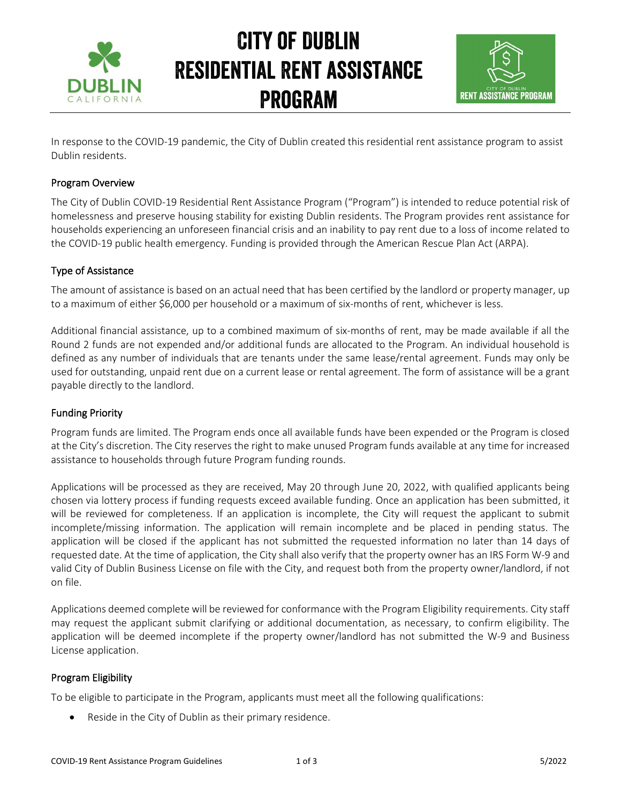

## City of Dublin Residential Rent assistance Program



In response to the COVID-19 pandemic, the City of Dublin created this residential rent assistance program to assist Dublin residents.

#### Program Overview

The City of Dublin COVID-19 Residential Rent Assistance Program ("Program") is intended to reduce potential risk of homelessness and preserve housing stability for existing Dublin residents. The Program provides rent assistance for households experiencing an unforeseen financial crisis and an inability to pay rent due to a loss of income related to the COVID-19 public health emergency. Funding is provided through the American Rescue Plan Act (ARPA).

#### Type of Assistance

The amount of assistance is based on an actual need that has been certified by the landlord or property manager, up to a maximum of either \$6,000 per household or a maximum of six-months of rent, whichever is less.

Additional financial assistance, up to a combined maximum of six-months of rent, may be made available if all the Round 2 funds are not expended and/or additional funds are allocated to the Program. An individual household is defined as any number of individuals that are tenants under the same lease/rental agreement. Funds may only be used for outstanding, unpaid rent due on a current lease or rental agreement. The form of assistance will be a grant payable directly to the landlord.

### Funding Priority

Program funds are limited. The Program ends once all available funds have been expended or the Program is closed at the City's discretion. The City reserves the right to make unused Program funds available at any time for increased assistance to households through future Program funding rounds.

Applications will be processed as they are received, May 20 through June 20, 2022, with qualified applicants being chosen via lottery process if funding requests exceed available funding. Once an application has been submitted, it will be reviewed for completeness. If an application is incomplete, the City will request the applicant to submit incomplete/missing information. The application will remain incomplete and be placed in pending status. The application will be closed if the applicant has not submitted the requested information no later than 14 days of requested date. At the time of application, the City shall also verify that the property owner has an IRS Form W-9 and valid City of Dublin Business License on file with the City, and request both from the property owner/landlord, if not on file.

Applications deemed complete will be reviewed for conformance with the Program Eligibility requirements. City staff may request the applicant submit clarifying or additional documentation, as necessary, to confirm eligibility. The application will be deemed incomplete if the property owner/landlord has not submitted the W-9 and Business License application.

### Program Eligibility

To be eligible to participate in the Program, applicants must meet all the following qualifications:

• Reside in the City of Dublin as their primary residence.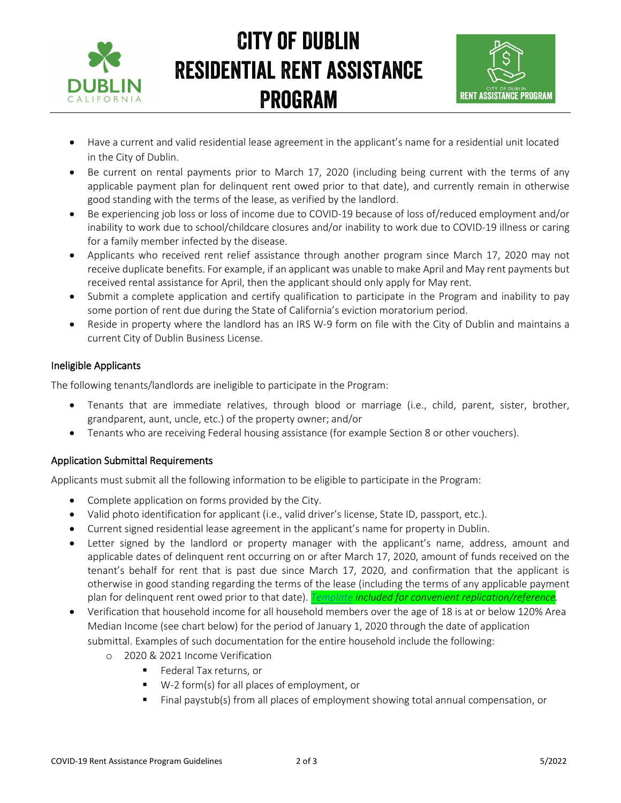

## City of Dublin Residential Rent assistance Program



- Have a current and valid residential lease agreement in the applicant's name for a residential unit located in the City of Dublin.
- Be current on rental payments prior to March 17, 2020 (including being current with the terms of any applicable payment plan for delinquent rent owed prior to that date), and currently remain in otherwise good standing with the terms of the lease, as verified by the landlord.
- Be experiencing job loss or loss of income due to COVID-19 because of loss of/reduced employment and/or inability to work due to school/childcare closures and/or inability to work due to COVID-19 illness or caring for a family member infected by the disease.
- Applicants who received rent relief assistance through another program since March 17, 2020 may not receive duplicate benefits. For example, if an applicant was unable to make April and May rent payments but received rental assistance for April, then the applicant should only apply for May rent.
- Submit a complete application and certify qualification to participate in the Program and inability to pay some portion of rent due during the State of California's eviction moratorium period.
- Reside in property where the landlord has an IRS W-9 form on file with the City of Dublin and maintains a current City of Dublin Business License.

### Ineligible Applicants

The following tenants/landlords are ineligible to participate in the Program:

- Tenants that are immediate relatives, through blood or marriage (i.e., child, parent, sister, brother, grandparent, aunt, uncle, etc.) of the property owner; and/or
- Tenants who are receiving Federal housing assistance (for example Section 8 or other vouchers).

### Application Submittal Requirements

Applicants must submit all the following information to be eligible to participate in the Program:

- Complete application on forms provided by the City.
- Valid photo identification for applicant (i.e., valid driver's license, State ID, passport, etc.).
- Current signed residential lease agreement in the applicant's name for property in Dublin.
- Letter signed by the landlord or property manager with the applicant's name, address, amount and applicable dates of delinquent rent occurring on or after March 17, 2020, amount of funds received on the tenant's behalf for rent that is past due since March 17, 2020, and confirmation that the applicant is otherwise in good standing regarding the terms of the lease (including the terms of any applicable payment plan for delinquent rent owed prior to that date). *[Template](https://www.dublin.ca.gov/DocumentCenter/View/30573/Landlord-Letter-Template) included for convenient replication/reference.*
- Verification that household income for all household members over the age of 18 is at or below 120% Area Median Income (see chart below) for the period of January 1, 2020 through the date of application submittal. Examples of such documentation for the entire household include the following:
	- 2020 & 2021 Income Verification
		- **Federal Tax returns, or**
		- W-2 form(s) for all places of employment, or
		- Final paystub(s) from all places of employment showing total annual compensation, or